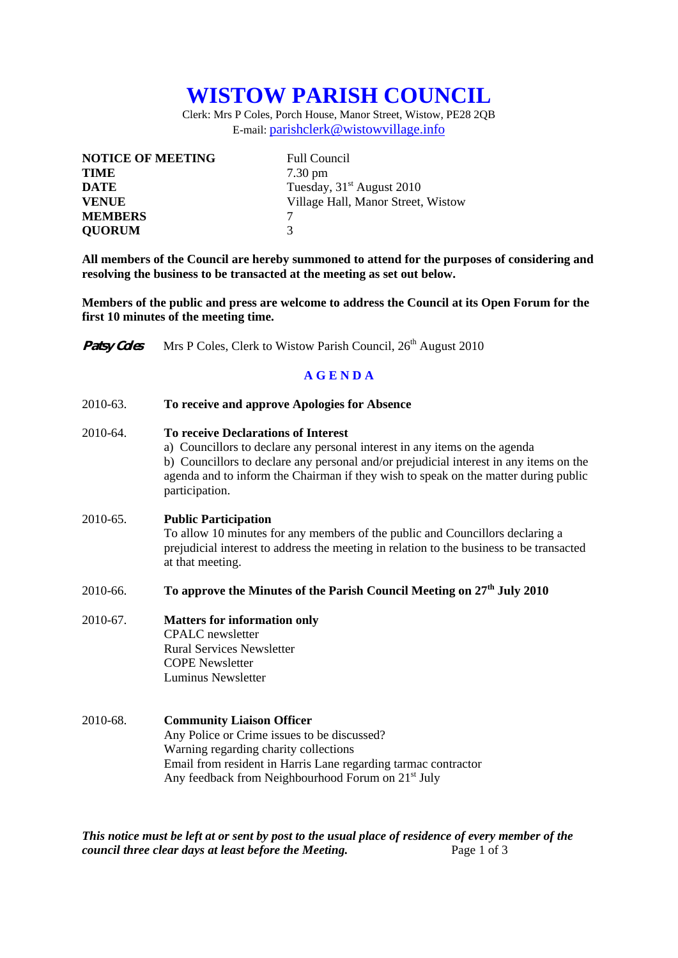## **WISTOW PARISH COUNCIL**

Clerk: Mrs P Coles, Porch House, Manor Street, Wistow, PE28 2QB E-mail: parishclerk@wistowvillage.info

| <b>NOTICE OF MEETING</b> | <b>Full Council</b>                |
|--------------------------|------------------------------------|
| <b>TIME</b>              | $7.30 \text{ pm}$                  |
| <b>DATE</b>              | Tuesday, $31st$ August 2010        |
| <b>VENUE</b>             | Village Hall, Manor Street, Wistow |
| <b>MEMBERS</b>           |                                    |
| <b>QUORUM</b>            | $\mathcal{R}$                      |

**All members of the Council are hereby summoned to attend for the purposes of considering and resolving the business to be transacted at the meeting as set out below.** 

**Members of the public and press are welcome to address the Council at its Open Forum for the first 10 minutes of the meeting time.** 

| <b>Patsy Coles</b> | Mrs P Coles, Clerk to Wistow Parish Council, 26 <sup>th</sup> August 2010                                                                                                                                                                                                                                                   |  |  |  |
|--------------------|-----------------------------------------------------------------------------------------------------------------------------------------------------------------------------------------------------------------------------------------------------------------------------------------------------------------------------|--|--|--|
| <b>AGENDA</b>      |                                                                                                                                                                                                                                                                                                                             |  |  |  |
| 2010-63.           | To receive and approve Apologies for Absence                                                                                                                                                                                                                                                                                |  |  |  |
| 2010-64.           | <b>To receive Declarations of Interest</b><br>a) Councillors to declare any personal interest in any items on the agenda<br>b) Councillors to declare any personal and/or prejudicial interest in any items on the<br>agenda and to inform the Chairman if they wish to speak on the matter during public<br>participation. |  |  |  |
| 2010-65.           | <b>Public Participation</b><br>To allow 10 minutes for any members of the public and Councillors declaring a<br>prejudicial interest to address the meeting in relation to the business to be transacted<br>at that meeting.                                                                                                |  |  |  |
| 2010-66.           | To approve the Minutes of the Parish Council Meeting on 27 <sup>th</sup> July 2010                                                                                                                                                                                                                                          |  |  |  |
| 2010-67.           | <b>Matters for information only</b><br><b>CPALC</b> newsletter<br><b>Rural Services Newsletter</b><br><b>COPE Newsletter</b><br>Luminus Newsletter                                                                                                                                                                          |  |  |  |
| 2010-68.           | <b>Community Liaison Officer</b><br>Any Police or Crime issues to be discussed?<br>Warning regarding charity collections<br>Email from resident in Harris Lane regarding tarmac contractor<br>Any feedback from Neighbourhood Forum on 21 <sup>st</sup> July                                                                |  |  |  |

*This notice must be left at or sent by post to the usual place of residence of every member of the council three clear days at least before the Meeting.* Page 1 of 3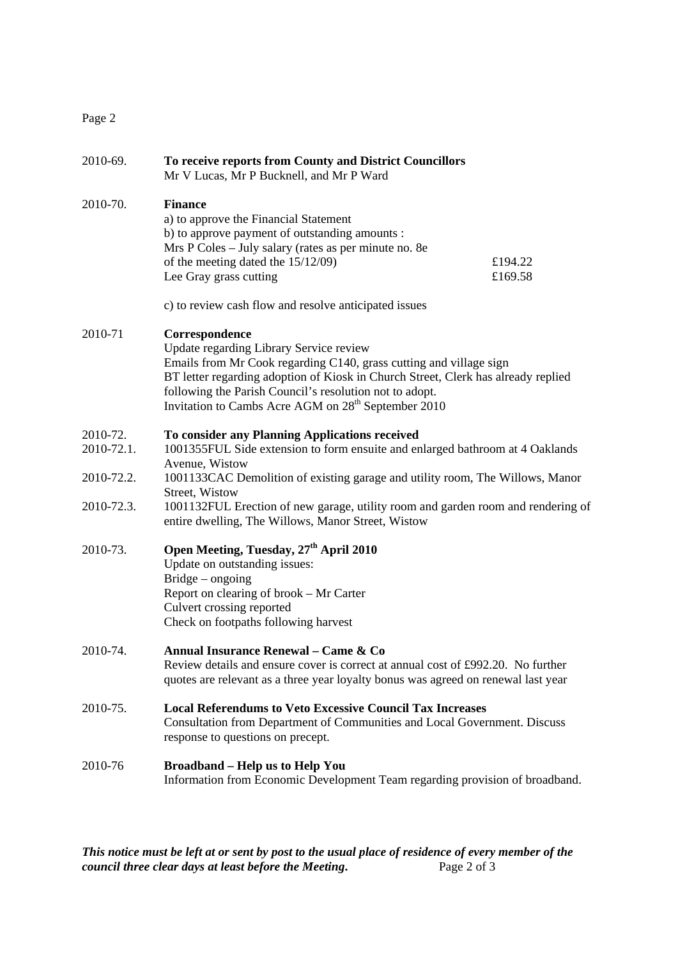## Page 2

| 2010-69.               | To receive reports from County and District Councillors<br>Mr V Lucas, Mr P Bucknell, and Mr P Ward                                                                                                                                                                                                                                                |                    |
|------------------------|----------------------------------------------------------------------------------------------------------------------------------------------------------------------------------------------------------------------------------------------------------------------------------------------------------------------------------------------------|--------------------|
| 2010-70.               | <b>Finance</b><br>a) to approve the Financial Statement<br>b) to approve payment of outstanding amounts :<br>Mrs P Coles - July salary (rates as per minute no. 8e<br>of the meeting dated the 15/12/09)<br>Lee Gray grass cutting                                                                                                                 | £194.22<br>£169.58 |
|                        | c) to review cash flow and resolve anticipated issues                                                                                                                                                                                                                                                                                              |                    |
| 2010-71                | Correspondence<br>Update regarding Library Service review<br>Emails from Mr Cook regarding C140, grass cutting and village sign<br>BT letter regarding adoption of Kiosk in Church Street, Clerk has already replied<br>following the Parish Council's resolution not to adopt.<br>Invitation to Cambs Acre AGM on 28 <sup>th</sup> September 2010 |                    |
| 2010-72.<br>2010-72.1. | To consider any Planning Applications received<br>1001355FUL Side extension to form ensuite and enlarged bathroom at 4 Oaklands<br>Avenue, Wistow                                                                                                                                                                                                  |                    |
| 2010-72.2.             | 1001133CAC Demolition of existing garage and utility room, The Willows, Manor<br>Street, Wistow                                                                                                                                                                                                                                                    |                    |
| 2010-72.3.             | 1001132FUL Erection of new garage, utility room and garden room and rendering of<br>entire dwelling, The Willows, Manor Street, Wistow                                                                                                                                                                                                             |                    |
| 2010-73.               | Open Meeting, Tuesday, 27 <sup>th</sup> April 2010<br>Update on outstanding issues:<br>Bridge – ongoing<br>Report on clearing of brook – Mr Carter<br>Culvert crossing reported<br>Check on footpaths following harvest                                                                                                                            |                    |
| 2010-74.               | Annual Insurance Renewal - Came & Co<br>Review details and ensure cover is correct at annual cost of £992.20. No further<br>quotes are relevant as a three year loyalty bonus was agreed on renewal last year                                                                                                                                      |                    |
| 2010-75.               | <b>Local Referendums to Veto Excessive Council Tax Increases</b><br>Consultation from Department of Communities and Local Government. Discuss<br>response to questions on precept.                                                                                                                                                                 |                    |
| 2010-76                | <b>Broadband - Help us to Help You</b><br>Information from Economic Development Team regarding provision of broadband.                                                                                                                                                                                                                             |                    |

*This notice must be left at or sent by post to the usual place of residence of every member of the council three clear days at least before the Meeting.* Page 2 of 3